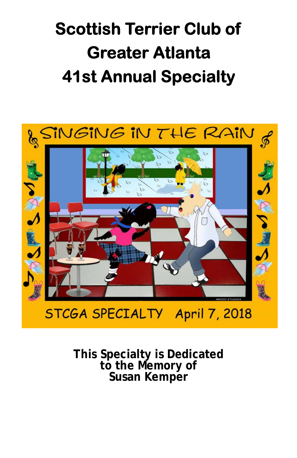# **Scottish Terrier Club of Greater Atlanta 41st Annual Specialty**



## STCGA SPECIALTY April 7, 2018

**This Specialty is Dedicated to the Memory of Susan Kemper**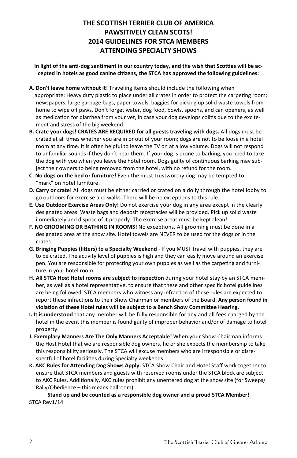#### **THE SCOTTISH TERRIER CLUB OF AMERICA PAWSITIVELY CLEAN SCOTS! 2014 GUIDELINES FOR STCA MEMBERS ATTENDING SPECIALTY SHOWS**

In light of the anti-dog sentiment in our country today, and the wish that Scotties will be accepted in hotels as good canine citizens, the STCA has approved the following guidelines:

- **A. Don't leave home without it!** Traveling items should include the following when appropriate: Heavy duty plastic to place under all crates in order to protect the carpeting room; newspapers, large garbage bags, paper towels, baggies for picking up solid waste towels from home to wipe off paws. Don't forget water, dog food, bowls, spoons, and can openers, as well as medication for diarrhea from your vet, in case your dog develops colitis due to the excitement and stress of the big weekend.
- **B. Crate your dogs! CRATES ARE REQUIRED for all guests traveling with dogs.** All dogs must be crated at all times whether you are in or out of your room; dogs are not to be loose in a hotel room at any time. It is often helpful to leave the TV on at a low volume. Dogs will not respond to unfamiliar sounds if they don't hear them. If your dog is prone to barking, you need to take the dog with you when you leave the hotel room. Dogs guilty of continuous barking may subiect their owners to being removed from the hotel, with no refund for the room.
- **C. No dogs on the bed or furniture!** Even the most trustworthy dog may be tempted to "mark" on hotel furniture.
- **D. Carry or crate!** All dogs must be either carried or crated on a dolly through the hotel lobby to go outdoors for exercise and walks. There will be no exceptions to this rule.
- **E. Use Outdoor Exercise Areas Only!** Do not exercise your dog in any area except in the clearly designated areas. Waste bags and deposit receptacles will be provided. Pick up solid waste immediately and dispose of it properly. The exercise areas must be kept clean!
- **F. NO GROOMING OR BATHING IN ROOMS!** No exceptions. All grooming must be done in a designated area at the show site. Hotel towels are NEVER to be used for the dogs or in the crates.
- G. Bringing Puppies (litters) to a Specialty Weekend If you MUST travel with puppies, they are to be crated. The activity level of puppies is high and they can easily move around an exercise pen. You are responsible for protecting your own puppies as well as the carpeting and furniture in your hotel room.
- H. All STCA Host Hotel rooms are subject to inspection during your hotel stay by an STCA member, as well as a hotel representative, to ensure that these and other specific hotel guidelines are being followed. STCA members who witness any infraction of these rules are expected to report these infractions to their Show Chairman or members of the Board. Any person found in **violaƟon of these Hotel rules will be subject to a Bench Show CommiƩee Hearing.**
- **I. It is understood** that any member will be fully responsible for any and all fees charged by the hotel in the event this member is found guilty of improper behavior and/or of damage to hotel property.
- **J. Exemplary Manners Are The Only Manners Acceptable!** When your Show Chairman informs the Host Hotel that we are responsible dog owners, he or she expects the membership to take this responsibility seriously. The STCA will excuse members who are irresponsible or disrespectful of hotel facilities during Specialty weekends.
- **K. AKC Rules for AƩending Dog Shows Apply:** STCA Show Chair and Hotel Staff work together to ensure that STCA members and guests with reserved rooms under the STCA block are subject to AKC Rules. Additionally, AKC rules prohibit any unentered dog at the show site (for Sweeps/ Rally/Obedience – this means ballroom).

**Stand up and be counted as a responsible dog owner and a proud STCA Member!**  STCA Rev1/14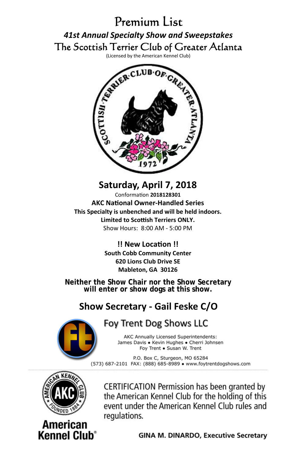## Premium List

*41st Annual Specialty Show and Sweepstakes* The Scottish Terrier Club of Greater Atlanta

(Licensed by the American Kennel Club)



**Saturday, April 7, 2018** 

ConformaƟon **2018128301 AKC NaƟonal Owner‐Handled Series This Specialty is unbenched and will be held indoors. Limited to Scottish Terriers ONLY.** Show Hours: 8:00 AM - 5:00 PM

> **!! New LocaƟon !! South Cobb Community Center 620 Lions Club Drive SE Mableton, GA 30126**

**Neither the Show Chair nor the Show Secretary will enter or show dogs at this show.** 

## **Show Secretary ‐ Gail Feske C/O**



## Foy Trent Dog Shows LLC

AKC Annually Licensed Superintendents: James Davis . Kevin Hughes . Cherri Johnsen Foy Trent . Susan W. Trent

P.O. Box C, Sturgeon, MO 65284 (573) 687-2101 FAX: (888) 685-8989 · www.foytrentdogshows.com



American **Kennel Club<sup>®</sup>**  **CERTIFICATION Permission has been granted by** the American Kennel Club for the holding of this event under the American Kennel Club rules and regulations.

**GINA M. DINARDO, Executive Secretary**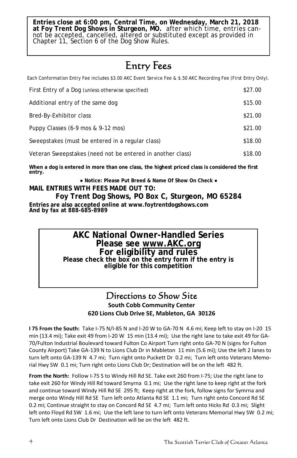**Entries close at 6:00 pm, Central Time, on Wednesday, March 21, 2018 at Foy Trent Dog Shows in Sturgeon, MO.** after which time, entries cannot be accepted, cancelled, altered or substituted except as provided in Chapter 11, Section 6 of the Dog Show Rules.

## Entry Fees

Each Conformation Entry Fee includes \$3.00 AKC Event Service Fee & \$.50 AKC Recording Fee (First Entry Only).

| First Entry of a Dog (unless otherwise specified)          | \$27.00 |
|------------------------------------------------------------|---------|
| Additional entry of the same dog                           | \$15.00 |
| Bred-By-Exhibitor class                                    | \$21.00 |
| Puppy Classes (6-9 mos & 9-12 mos)                         | \$21.00 |
| Sweepstakes (must be entered in a regular class)           | \$18.00 |
| Veteran Sweepstakes (need not be entered in another class) | \$18.00 |

**When a dog is entered in more than one class, the highest priced class is considered the first entry.** 

**● Notice: Please Put Breed & Name Of Show On Check ●**

#### **MAIL ENTRIES WITH FEES MADE OUT TO:**

**Foy Trent Dog Shows, PO Box C, Sturgeon, MO 65284 Entries are also accepted online at www.foytrentdogshows.com** 

**And by fax at 888-685-8989** 

## **AKC National Owner-Handled Series Please see www.AKC.org**<br>**For eligibility and rules**

**For eligibility and rules Please check the box on the entry form if the entry is eligible for this competition** 

#### Directions to Show Site **South Cobb Community Center 620 Lions Club Drive SE, Mableton, GA 30126**

**I 75 From the South:** Take I-75 N/I-85 N and I-20 W to GA-70 N 4.6 mi; Keep left to stay on I-20 15 min (13.4 mi); Take exit 49 from I-20 W 15 min (13.4 mi); Use the right lane to take exit 49 for GA-70/Fulton Industrial Boulevard toward Fulton Co Airport Turn right onto GA-70 N (signs for Fulton County Airport) Take GA-139 N to Lions Club Dr in Mableton 11 min (5.6 mi); Use the left 2 lanes to turn left onto GA-139 N 4.7 mi; Turn right onto Puckett Dr 0.2 mi; Turn left onto Veterans Memorial Hwy SW 0.1 mi; Turn right onto Lions Club Dr; Destination will be on the left 482 ft.

**From the North:** Follow I-75 S to Windy Hill Rd SE. Take exit 260 from I-75; Use the right lane to take exit 260 for Windy Hill Rd toward Smyrna 0.1 mi; Use the right lane to keep right at the fork and continue toward Windy Hill Rd SE 295 ft; Keep right at the fork, follow signs for Symrna and merge onto Windy Hill Rd SE Turn left onto Atlanta Rd SE 1.1 mi; Turn right onto Concord Rd SE 0.2 mi; Continue straight to stay on Concord Rd SE 4.7 mi; Turn left onto Hicks Rd 0.3 mi; Slight left onto Floyd Rd SW 1.6 mi; Use the left lane to turn left onto Veterans Memorial Hwy SW 0.2 mi; Turn left onto Lions Club Dr Destination will be on the left 482 ft.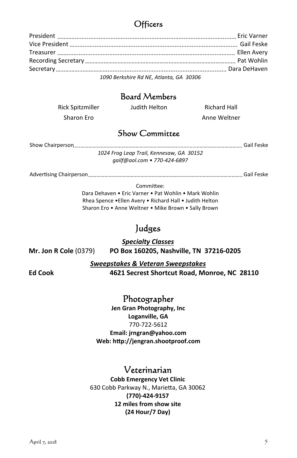### Ficers

| $10000 \times 111 \times 1117 \times 111 \times 210000$ |  |
|---------------------------------------------------------|--|

*1090 Berkshire Rd NE, Atlanta, GA 30306* 

## Board Members

Rick Spitzmiller **Judith Helton** Richard Hall Sharon Ero **Anne Weltner Anne Weltner** 

## Show Committee

Show Chairperson.......................... Gail Feske  *.….……………………………………….……….…………..............…………………………….* 

> *1024 Frog Leap Trail, Kennesaw, GA 30152 gailf@aol.com • 770‐424‐6897*

AdverƟsing Chairperson Gail Feske  *………………………………..………………………………………………………………..* 

Committee:

Dara Dehaven • Eric Varner • Pat Wohlin • Mark Wohlin Rhea Spence •Ellen Avery • Richard Hall • Judith Helton Sharon Ero • Anne Weltner • Mike Brown • Sally Brown

## Judges

*Specialty Classes*  **Mr. Jon R Cole** (0379) **PO Box 160205, Nashville, TN 37216‐0205** 

*Sweepstakes & Veteran Sweepstakes* 

**Ed Cook 4621 Secrest Shortcut Road, Monroe, NC 28110** 

Photographer

**Jen Gran Photography, Inc Loganville, GA**  770-722-5612 **Email: jrngran@yahoo.com Web: hƩp://jengran.shootproof.com** 

## Veterinarian

**Cobb Emergency Vet Clinic**  630 Cobb Parkway N., Marietta, GA 30062 **(770)‐424‐9157 12 miles from show site (24 Hour/7 Day)**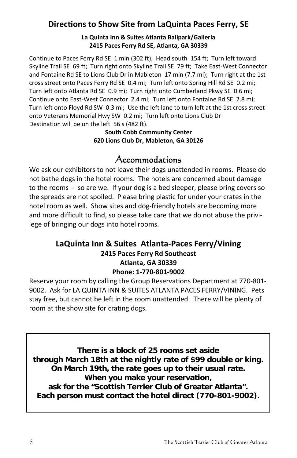### **DirecƟons to Show Site from LaQuinta Paces Ferry, SE**

#### **La Quinta Inn & Suites Atlanta Ballpark/Galleria 2415 Paces Ferry Rd SE, Atlanta, GA 30339**

Continue to Paces Ferry Rd SE 1 min (302 ft); Head south 154 ft; Turn left toward Skyline Trail SE 69 ft; Turn right onto Skyline Trail SE 79 ft; Take East-West Connector and Fontaine Rd SE to Lions Club Dr in Mableton 17 min (7.7 mi); Turn right at the 1st cross street onto Paces Ferry Rd SE 0.4 mi; Turn left onto Spring Hill Rd SE 0.2 mi; Turn left onto Atlanta Rd SE 0.9 mi; Turn right onto Cumberland Pkwy SE 0.6 mi; Continue onto East-West Connector 2.4 mi; Turn left onto Fontaine Rd SE 2.8 mi; Turn left onto Floyd Rd SW 0.3 mi; Use the left lane to turn left at the 1st cross street onto Veterans Memorial Hwy SW 0.2 mi; Turn left onto Lions Club Dr Destination will be on the left 56 s (482 ft).

> **South Cobb Community Center 620 Lions Club Dr, Mableton, GA 30126**

### Accommodations

We ask our exhibitors to not leave their dogs unattended in rooms. Please do not bathe dogs in the hotel rooms. The hotels are concerned about damage to the rooms - so are we. If your dog is a bed sleeper, please bring covers so the spreads are not spoiled. Please bring plastic for under your crates in the hotel room as well. Show sites and dog-friendly hotels are becoming more and more difficult to find, so please take care that we do not abuse the privilege of bringing our dogs into hotel rooms.

#### **LaQuinta Inn & Suites Atlanta‐Paces Ferry/Vining 2415 Paces Ferry Rd Southeast Atlanta, GA 30339 Phone: 1‐770‐801‐9002**

Reserve your room by calling the Group Reservations Department at 770-801-9002. Ask for LA QUINTA INN & SUITES ATLANTA PACES FERRY/VINING. Pets stay free, but cannot be left in the room unattended. There will be plenty of room at the show site for crating dogs.

**There is a block of 25 rooms set aside through March 18th at the nightly rate of \$99 double or king. On March 19th, the rate goes up to their usual rate. When you make your reservation, ask for the "Scottish Terrier Club of Greater Atlanta". Each person must contact the hotel direct (770-801-9002).**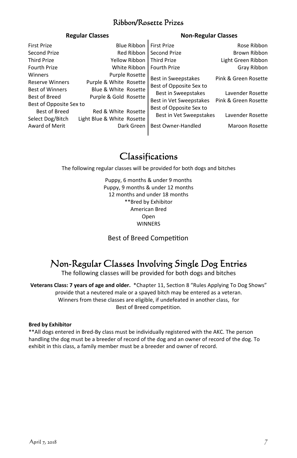#### **Regular Classes Non‐Regular Classes**  Ribbon/Rosette Prizes

|                         | neguidi Classes            | <b>NUIL-NEXUIAL CLASSES</b>                        |                      |
|-------------------------|----------------------------|----------------------------------------------------|----------------------|
| <b>First Prize</b>      | Blue Ribbon   First Prize  |                                                    | Rose Ribbon          |
| Second Prize            | Red Ribbon I               | Second Prize                                       | Brown Ribbon         |
| <b>Third Prize</b>      | Yellow Ribbon              | <b>Third Prize</b>                                 | Light Green Ribbon   |
| <b>Fourth Prize</b>     | White Ribbon               | <b>Fourth Prize</b>                                | Gray Ribbon          |
| Winners                 | Purple Rosette             | <b>Best in Sweepstakes</b>                         | Pink & Green Rosette |
| <b>Reserve Winners</b>  | Purple & White Rosette     | Best of Opposite Sex to                            |                      |
| <b>Best of Winners</b>  | Blue & White Rosette       | <b>Best in Sweepstakes</b>                         | Lavender Rosette     |
| Best of Breed           | Purple & Gold Rosette      |                                                    |                      |
| Best of Opposite Sex to |                            | Best in Vet Sweepstakes<br>Best of Opposite Sex to | Pink & Green Rosette |
| Best of Breed           | Red & White Rosette        |                                                    |                      |
| Select Dog/Bitch        | Light Blue & White Rosette | Best in Vet Sweepstakes                            | Lavender Rosette     |
| Award of Merit          | Dark Green                 | Best Owner-Handled                                 | Maroon Rosette       |

## Classifications

The following regular classes will be provided for both dogs and bitches

Puppy, 6 months & under 9 months Puppy, 9 months & under 12 months 12 months and under 18 months \*\*Bred by Exhibitor American Bred Open **WINNERS** 

Best of Breed Competition

## Non-Regular Classes Involving Single Dog Entries

The following classes will be provided for both dogs and bitches

**Veterans Class: 7 years of age and older.** \* Chapter 11, Section 8 "Rules Applying To Dog Shows" provide that a neutered male or a spayed bitch may be entered as a veteran. Winners from these classes are eligible, if undefeated in another class, for Best of Breed competition.

#### **Bred by Exhibitor**

\*\*All dogs entered in Bred-By class must be individually registered with the AKC. The person handling the dog must be a breeder of record of the dog and an owner of record of the dog. To exhibit in this class, a family member must be a breeder and owner of record.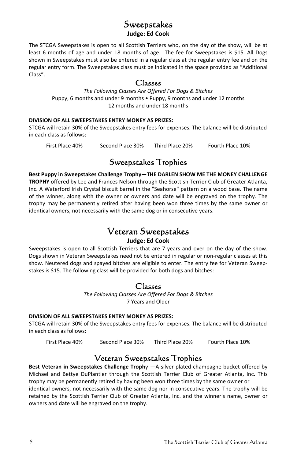#### Sweepstakes **Judge: Ed Cook**

The STCGA Sweepstakes is open to all Scottish Terriers who, on the day of the show, will be at least 6 months of age and under 18 months of age. The fee for Sweepstakes is \$15. All Dogs shown in Sweepstakes must also be entered in a regular class at the regular entry fee and on the regular entry form. The Sweepstakes class must be indicated in the space provided as "Additional Class".

#### Classes

*The Following Classes Are Offered For Dogs & Bitches*  Puppy, 6 months and under 9 months • Puppy, 9 months and under 12 months 12 months and under 18 months

#### **DIVISION OF ALL SWEEPSTAKES ENTRY MONEY AS PRIZES:**

STCGA will retain 30% of the Sweepstakes entry fees for expenses. The balance will be distributed in each class as follows:

First Place 40% Second Place 30% Third Place 20% Fourth Place 10%

## Sweepstakes Trophies

**Best Puppy in Sweepstakes Challenge Trophy**—**THE DARLEN SHOW ME THE MONEY CHALLENGE TROPHY** offered by Lee and Frances Nelson through the Scottish Terrier Club of Greater Atlanta, Inc. A Waterford Irish Crystal biscuit barrel in the "Seahorse" pattern on a wood base. The name of the winner, along with the owner or owners and date will be engraved on the trophy. The trophy may be permanently retired after having been won three times by the same owner or identical owners, not necessarily with the same dog or in consecutive years.

## Veteran Sweepstakes

#### **Judge: Ed Cook**

Sweepstakes is open to all Scottish Terriers that are 7 years and over on the day of the show. Dogs shown in Veteran Sweepstakes need not be entered in regular or non-regular classes at this show. Neutered dogs and spayed bitches are eligible to enter. The entry fee for Veteran Sweepstakes is \$15. The following class will be provided for both dogs and bitches:

#### Classes

*The Following Classes Are Offered For Dogs & Bitches*  7 Years and Older

#### **DIVISION OF ALL SWEEPSTAKES ENTRY MONEY AS PRIZES:**

STCGA will retain 30% of the Sweepstakes entry fees for expenses. The balance will be distributed in each class as follows:

First Place 40% Second Place 30% Third Place 20% Fourth Place 10%

### Veteran Sweepstakes Trophies

**Best Veteran in Sweepstakes Challenge Troph**y —A silver-plated champagne bucket offered by Michael and Bettye DuPlantier through the Scottish Terrier Club of Greater Atlanta, Inc. This trophy may be permanently retired by having been won three times by the same owner or identical owners, not necessarily with the same dog nor in consecutive years. The trophy will be retained by the Scottish Terrier Club of Greater Atlanta, Inc. and the winner's name, owner or owners and date will be engraved on the trophy.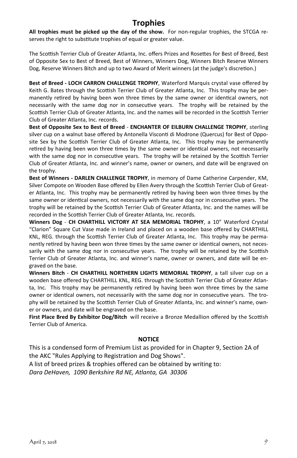### **Trophies**

**All trophies must be picked up the day of the show.** For non-regular trophies, the STCGA reserves the right to substitute trophies of equal or greater value.

The Scottish Terrier Club of Greater Atlanta, Inc. offers Prizes and Rosettes for Best of Breed, Best of Opposite Sex to Best of Breed, Best of Winners, Winners Dog, Winners Bitch Reserve Winners Dog, Reserve Winners Bitch and up to two Award of Merit winners (at the judge's discretion.)

**Best of Breed ‐ LOCH CARRON CHALLENGE TROPHY**, Waterford Marquis crystal vase offered by Keith G. Bates through the Scottish Terrier Club of Greater Atlanta, Inc. This trophy may be permanently retired by having been won three times by the same owner or identical owners, not necessarily with the same dog nor in consecutive years. The trophy will be retained by the Scottish Terrier Club of Greater Atlanta, Inc. and the names will be recorded in the Scottish Terrier Club of Greater Atlanta, Inc. records.

**Best of Opposite Sex to Best of Breed** - **ENCHANTER OF EILBURN CHALLENGE TROPHY**, sterling silver cup on a walnut base offered by Antonella Visconti di Modrone (Quercus) for Best of Opposite Sex by the Scottish Terrier Club of Greater Atlanta, Inc. This trophy may be permanently retired by having been won three times by the same owner or identical owners, not necessarily with the same dog nor in consecutive years. The trophy will be retained by the Scottish Terrier Club of Greater Atlanta, Inc. and winner's name, owner or owners, and date will be engraved on the trophy.

**Best of Winners ‐ DARLEN CHALLENGE TROPHY**, in memory of Dame Catherine Carpender, KM, Silver Compote on Wooden Base offered by Ellen Avery through the Scottish Terrier Club of Greater Atlanta, Inc. This trophy may be permanently retired by having been won three times by the same owner or identical owners, not necessarily with the same dog nor in consecutive years. The trophy will be retained by the Scottish Terrier Club of Greater Atlanta, Inc. and the names will be recorded in the Scottish Terrier Club of Greater Atlanta, Inc. records.

**Winners Dog** - **CH CHARTHILL VICTORY AT SEA MEMORIAL TROPHY**, a 10" Waterford Crystal "Clarion" Square Cut Vase made in Ireland and placed on a wooden base offered by CHARTHILL KNL, REG. through the Scottish Terrier Club of Greater Atlanta, Inc. This trophy may be permanently retired by having been won three times by the same owner or identical owners, not necessarily with the same dog nor in consecutive years. The trophy will be retained by the Scottish Terrier Club of Greater Atlanta, Inc. and winner's name, owner or owners, and date will be engraved on the base.

**Winners Bitch** - **CH CHARTHILL NORTHERN LIGHTS MEMORIAL TROPHY**, a tall silver cup on a wooden base offered by CHARTHILL KNL, REG. through the Scottish Terrier Club of Greater Atlanta, Inc. This trophy may be permanently retired by having been won three times by the same owner or identical owners, not necessarily with the same dog nor in consecutive years. The trophy will be retained by the Scottish Terrier Club of Greater Atlanta, Inc. and winner's name, owner or owners, and date will be engraved on the base.

First Place Bred By Exhibitor Dog/Bitch will receive a Bronze Medallion offered by the Scottish Terrier Club of America.

#### **NOTICE**

This is a condensed form of Premium List as provided for in Chapter 9, Section 2A of the AKC "Rules Applying to Registration and Dog Shows".

A list of breed prizes & trophies offered can be obtained by writing to:

*Dara DeHaven, 1090 Berkshire Rd NE, Atlanta, GA 30306*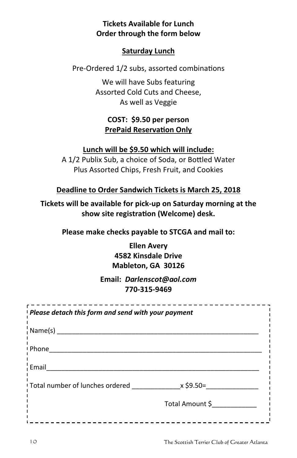### **Tickets Available for Lunch Order through the form below**

### **Saturday Lunch**

Pre-Ordered 1/2 subs, assorted combinations

We will have Subs featuring Assorted Cold Cuts and Cheese, As well as Veggie

### **COST: \$9.50 per person PrePaid Reservation Only**

#### **Lunch will be \$9.50 which will include:**

A 1/2 Publix Sub, a choice of Soda, or Bottled Water Plus Assorted Chips, Fresh Fruit, and Cookies

### **Deadline to Order Sandwich Tickets is March 25, 2018**

**Tickets will be available for pick‐up on Saturday morning at the show site registraƟon (Welcome) desk.** 

**Please make checks payable to STCGA and mail to:** 

**Ellen Avery 4582 Kinsdale Drive Mableton, GA 30126** 

### **Email:** *Darlenscot@aol.com*  **770‐315‐9469**

| Please detach this form and send with your payment |                 |
|----------------------------------------------------|-----------------|
| $\sqrt{\text{Name(s)}}$                            |                 |
| I Phone                                            |                 |
| Email                                              |                 |
| I Total number of lunches ordered                  | x \$9.50=       |
|                                                    | Total Amount \$ |
|                                                    |                 |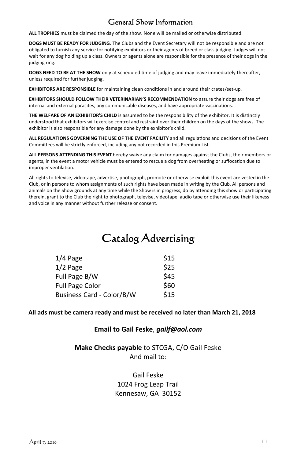### General Show Information

**ALL TROPHIES** must be claimed the day of the show. None will be mailed or otherwise distributed.

**DOGS MUST BE READY FOR JUDGING**. The Clubs and the Event Secretary will not be responsible and are not obligated to furnish any service for notifying exhibitors or their agents of breed or class judging. Judges will not wait for any dog holding up a class. Owners or agents alone are responsible for the presence of their dogs in the judging ring.

**DOGS NEED TO BE AT THE SHOW** only at scheduled time of judging and may leave immediately thereafter, unless required for further judging.

**EXHIBITORS ARE RESPONSIBLE** for maintaining clean conditions in and around their crates/set-up.

**EXHIBITORS SHOULD FOLLOW THEIR VETERINARIAN'S RECOMMENDATION** to assure their dogs are free of internal and external parasites, any communicable diseases, and have appropriate vaccinations.

THE WELFARE OF AN EXHIBITOR'S CHILD is assumed to be the responsibility of the exhibitor. It is distinctly understood that exhibitors will exercise control and restraint over their children on the days of the shows. The exhibitor is also responsible for any damage done by the exhibitor's child.

ALL REGULATIONS GOVERNING THE USE OF THE EVENT FACILITY and all regulations and decisions of the Event Committees will be strictly enforced, including any not recorded in this Premium List.

**ALL PERSONS ATTENDING THIS EVENT** hereby waive any claim for damages against the Clubs, their members or agents, in the event a motor vehicle must be entered to rescue a dog from overheating or suffocation due to improper ventilation.

All rights to televise, videotape, advertise, photograph, promote or otherwise exploit this event are vested in the Club, or in persons to whom assignments of such rights have been made in writing by the Club. All persons and animals on the Show grounds at any time while the Show is in progress, do by attending this show or participating therein, grant to the Club the right to photograph, televise, videotape, audio tape or otherwise use their likeness and voice in any manner without further release or consent.

## Catalog Advertising

| 1/4 Page                         | \$15 |
|----------------------------------|------|
| $1/2$ Page                       | \$25 |
| Full Page B/W                    | \$45 |
| <b>Full Page Color</b>           | \$60 |
| <b>Business Card - Color/B/W</b> | \$15 |

#### **All ads must be camera ready and must be received no later than March 21, 2018**

#### **Email to Gail Feske**, *gailf@aol.com*

**Make Checks payable** to STCGA, C/O Gail Feske And mail to:

> Gail Feske 1024 Frog Leap Trail Kennesaw, GA 30152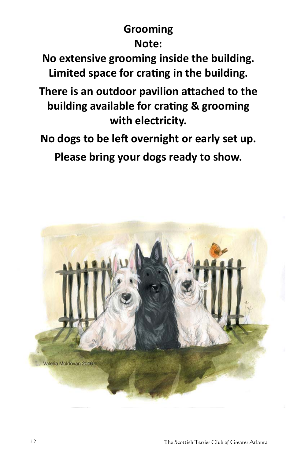## **Grooming Note:**

**No extensive grooming inside the building.**  Limited space for crating in the building.

**There is an outdoor pavilion aƩached to the building available for crating & grooming with electricity.** 

No dogs to be left overnight or early set up.

**Please bring your dogs ready to show.**

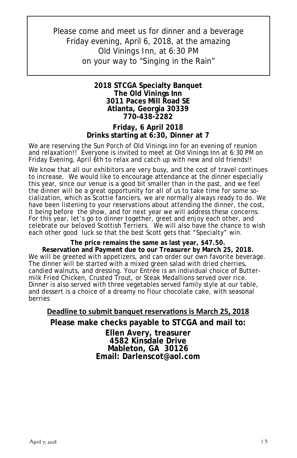Please come and meet us for dinner and a beverage Friday evening, April 6, 2018, at the amazing Old Vinings Inn, at 6:30 PM on your way to "Singing in the Rain"

#### **2018 STCGA Specialty Banquet The Old Vinings Inn 3011 Paces Mill Road SE Atlanta, Georgia 30339 770-438-2282**

#### **Friday, 6 April 2018 Drinks starting at 6:30, Dinner at 7**

We are reserving the Sun Porch of Old Vinings Inn for an evening of reunion and relaxation!! Everyone is invited to meet at Old Vinings Inn at 6:30 PM on Friday Evening, April 6th to relax and catch up with new and old friends!!

We know that all our exhibitors are very busy, and the cost of travel continues to increase. We would like to encourage attendance at the dinner especially this year, since our venue is a good bit smaller than in the past, and we feel the dinner will be a great opportunity for all of us to take time for some socialization, which as Scottie fanciers, we are normally always ready to do. We have been listening to your reservations about attending the dinner, the cost, it being before the show, and for next year we will address these concerns. For this year, let's go to dinner together, greet and enjoy each other, and celebrate our beloved Scottish Terriers. We will also have the chance to wish each other good luck so that the best Scott gets that "Specialty" win.

#### **The price remains the same as last year, \$47.50. Reservation and Payment due to our Treasurer by March 25, 2018.**  We will be greeted with appetizers, and can order our own favorite beverage. The dinner will be started with a mixed green salad with dried cherries, candied walnuts, and dressing. Your Entrée is an individual choice of Buttermilk Fried Chicken, Crusted Trout, or Steak Medallions served over rice. Dinner is also served with three vegetables served family style at our table, and dessert is a choice of a dreamy no flour chocolate cake, with seasonal berries

#### **Deadline to submit banquet reservaƟons is March 25, 2018**

**Please make checks payable to STCGA and mail to:** 

**Ellen Avery, treasurer 4582 Kinsdale Drive Mableton, GA 30126 Email:** *Darlenscot@aol.com*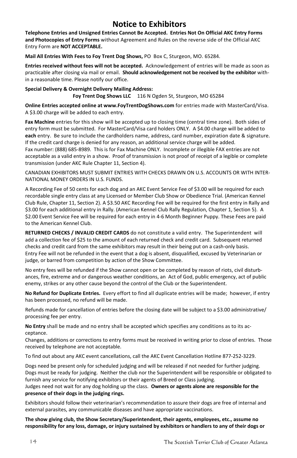### **Notice to Exhibitors**

**Telephone Entries and Unsigned Entries Cannot Be Accepted. Entries Not On Official AKC Entry Forms and Photocopies of Entry Forms** without Agreement and Rules on the reverse side of the Official AKC Entry Form are **NOT ACCEPTABLE.** 

**Mail All Entries With Fees to Foy Trent Dog Shows,** PO Box C, Sturgeon, MO. 65284.

**Entries received without fees will not be accepted.** Acknowledgement of entries will be made as soon as practicable after closing via mail or email. **Should acknowledgement not be received by the exhibitor** within a reasonable time. Please notify our office.

**Special Delivery & Overnight Delivery Mailing Address:** 

**Foy Trent Dog Shows LLC** 116 N Ogden St, Sturgeon, MO 65284

**Online Entries accepted online at www.FoyTrentDogShows.com** for entries made with MasterCard/Visa. A \$3.00 charge will be added to each entry.

**Fax Machine** entries for this show will be accepted up to closing time (central time zone). Both sides of entry form must be submitted. For MasterCard/Visa card holders ONLY. A \$4.00 charge will be added to **each** entry. Be sure to include the cardholders name, address, card number, expiration date & signature. If the credit card charge is denied for any reason, an additional service charge will be added. Fax number: (888) 685-8989. This is for Fax Machine ONLY. Incomplete or illegible FAX entries are not acceptable as a valid entry in a show. Proof of transmission is not proof of receipt of a legible or complete transmission (under AKC Rule Chapter 11, Section 4).

CANADIAN EXHIBITORS MUST SUBMIT ENTRIES WITH CHECKS DRAWN ON U.S. ACCOUNTS OR WITH INTER-NATIONAL MONEY ORDERS IN U.S. FUNDS.

A Recording Fee of 50 cents for each dog and an AKC Event Service Fee of \$3.00 will be required for each recordable single entry class at any Licensed or Member Club Show or Obedience Trial. (American Kennel Club Rule, Chapter 11, Section 2). A \$3.50 AKC Recording Fee will be required for the first entry in Rally and \$3.00 for each additional entry in Rally. (American Kennel Club Rally Regulation, Chapter 1, Section 5). A \$2.00 Event Service Fee will be required for each entry in 4-6 Month Beginner Puppy. These Fees are paid to the American Kennel Club.

**RETURNED CHECKS / INVALID CREDIT CARDS** do not constitute a valid entry. The Superintendent will add a collection fee of \$25 to the amount of each returned check and credit card. Subsequent returned checks and credit card from the same exhibitors may result in their being put on a cash-only basis. Entry Fee will not be refunded in the event that a dog is absent, disqualified, excused by Veterinarian or judge, or barred from competition by action of the Show Committee.

No entry fees will be refunded if the Show cannot open or be completed by reason of riots, civil disturbances, fire, extreme and or dangerous weather conditions, an Act of God, public emergency, act of public enemy, strikes or any other cause beyond the control of the Club or the Superintendent.

**No Refund for Duplicate Entries.** Every effort to find all duplicate entries will be made; however, if entry has been processed, no refund will be made.

Refunds made for cancellation of entries before the closing date will be subject to a \$3.00 administrative/ processing fee per entry.

**No Entry** shall be made and no entry shall be accepted which specifies any conditions as to its acceptance.

Changes, additions or corrections to entry forms must be received in writing prior to close of entries. Those received by telephone are not acceptable.

To find out about any AKC event cancellations, call the AKC Event Cancellation Hotline 877-252-3229.

Dogs need be present only for scheduled judging and will be released if not needed for further judging. Dogs must be ready for judging. Neither the club nor the Superintendent will be responsible or obligated to furnish any service for notifying exhibitors or their agents of Breed or Class judging. Judges need not wait for any dog holding up the class. **Owners or agents alone are responsible for the** 

**presence of their dogs in the judging rings.** 

Exhibitors should follow their veterinarian's recommendation to assure their dogs are free of internal and external parasites, any communicable diseases and have appropriate vaccinations.

**The show giving club, the Show Secretary/Superintendent, their agents, employees, etc., assume no responsibility for any loss, damage, or injury sustained by exhibitors or handlers to any of their dogs or**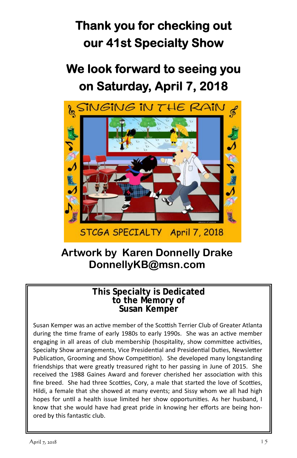## **Thank you for checking out our 41st Specialty Show**

## **We look forward to seeing you on Saturday, April 7, 2018**



## **Artwork by Karen Donnelly Drake DonnellyKB@msn.com**

## **This Specialty is Dedicated to the Memory of Susan Kemper**

Susan Kemper was an active member of the Scottish Terrier Club of Greater Atlanta during the time frame of early 1980s to early 1990s. She was an active member engaging in all areas of club membership (hospitality, show committee activities, Specialty Show arrangements, Vice Presidential and Presidential Duties, Newsletter Publication, Grooming and Show Competition). She developed many longstanding friendships that were greatly treasured right to her passing in June of 2015. She received the 1988 Gaines Award and forever cherished her association with this fine breed. She had three Scotties, Cory, a male that started the love of Scotties, Hildi, a female that she showed at many events; and Sissy whom we all had high hopes for until a health issue limited her show opportunities. As her husband, I know that she would have had great pride in knowing her efforts are being honored by this fantastic club.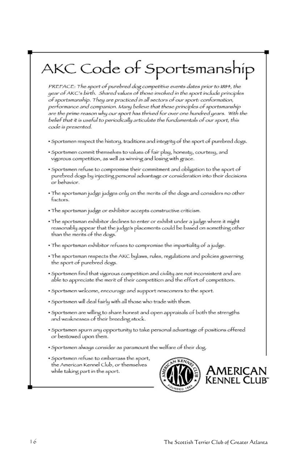# AKC Code of Sportsmanship

PREFACE: The sport of purebred dog competitive events dates prior to 1884, the year of AKC's birth. Shared values of those involved in the sport include principles of sportsmanship. They are practiced in all sectors of our sport: conformation, performance and companion. Many believe that these principles of sportsmanship are the prime reason why our sport has thrived for over one hundred years. With the belief that it is useful to periodically articulate the fundamentals of our sport, this code is presented.

- · Sportsmen respect the history, traditions and integrity of the sport of purebred dogs.
- · Sportsmen commit themselves to values of fair play, honesty, courtesy, and vigorous competition, as well as winning and losing with grace.
- · Sportsmen refuse to compromise their commitment and obligation to the sport of purebred dogs by injecting personal advantage or consideration into their decisions or behavior.
- . The sportsman judge judges only on the merits of the dogs and considers no other factors.
- . The sportsman judge or exhibitor accepts constructive criticism.
- · The sportsman exhibitor declines to enter or exhibit under a judge where it might reasonably appear that the judge's placements could be based on something other than the merits of the dogs.
- · The sportsman exhibitor refuses to compromise the impartiality of a judge.
- · The sportsman respects the AKC bylaws, rules, regulations and policies governing the sport of purebred dogs.
- · Sportsmen find that vigorous competition and civility are not inconsistent and are able to appreciate the merit of their competition and the effort of competitors.
- · Sportsmen welcome, encourage and support newcomers to the sport.
- · Sportsmen will deal fairly with all those who trade with them.
- · Sportsmen are willing to share honest and open appraisals of both the strengths and weaknesses of their breeding stock.
- · Sportsmen spurn any opportunity to take personal advantage of positions offered or bestowed upon them.
- · Sportsmen always consider as paramount the welfare of their dog.
- · Sportsmen refuse to embarrass the sport, the American Kennel Club, or themselves while taking part in the sport.

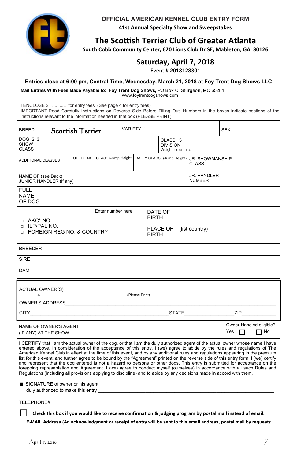

#### **OFFICIAL AMERICAN KENNEL CLUB ENTRY FORM 41st Annual Specialty Show and Sweepstakes**

**The Scoƫsh Terrier Club of Greater Atlanta** 

**South Cobb Community Center, 620 Lions Club Dr SE, Mableton, GA 30126** 

#### **Saturday, April 7, 2018**

Event # **2018128301** 

#### **Entries close at 6:00 pm, Central Time, Wednesday, March 21, 2018 at Foy Trent Dog Shows LLC**

Mail Entries With Fees Made Payable to: Foy Trent Dog Shows, PO Box C, Sturgeon, MO 65284 www.foytrentdogshows.com

I ENCLOSE \$ ........... for entry fees (See page 4 for entry fees) IMPORTANT-Read Carefully Instructions on Reverse Side Before Filling Out. Numbers in the boxes indicate sections of the instructions relevant to the information needed in that box (PLEASE PRINT)

| <b>BREED</b>                                  | Scottish Terrier                                                                                                                                                                                                               | VARIETY 1 |                |                         |                                                              |                                     | <b>SEX</b>                            |           |
|-----------------------------------------------|--------------------------------------------------------------------------------------------------------------------------------------------------------------------------------------------------------------------------------|-----------|----------------|-------------------------|--------------------------------------------------------------|-------------------------------------|---------------------------------------|-----------|
| DOG 2 3<br><b>SHOW</b><br><b>CLASS</b>        |                                                                                                                                                                                                                                |           |                |                         | CLASS <sub>3</sub><br><b>DIVISION</b><br>Weight, color, etc. |                                     |                                       |           |
| ADDITIONAL CLASSES                            | OBEDIENCE CLASS (Jump Height) RALLY CLASS (Jump Height) JR. SHOWMANSHIP                                                                                                                                                        |           |                |                         |                                                              | <b>CLASS</b>                        |                                       |           |
| NAME OF (see Back)<br>JUNIOR HANDLER (if any) |                                                                                                                                                                                                                                |           |                |                         |                                                              | <b>JR. HANDLER</b><br><b>NUMBER</b> |                                       |           |
| <b>FULL</b><br><b>NAME</b><br>OF DOG          |                                                                                                                                                                                                                                |           |                |                         |                                                              |                                     |                                       |           |
| $\Box$ AKC* NO.<br><b>D</b> ILP/PAL NO.       | Enter number here                                                                                                                                                                                                              |           |                | DATE OF<br><b>BIRTH</b> |                                                              |                                     |                                       |           |
|                                               | <b>EXECUTE: POREIGN REG NO. &amp; COUNTRY</b>                                                                                                                                                                                  |           |                | <b>BIRTH</b>            | PLACE OF                                                     | (list country)                      |                                       |           |
| <b>BREEDER</b>                                |                                                                                                                                                                                                                                |           |                |                         |                                                              |                                     |                                       |           |
| <b>SIRE</b>                                   |                                                                                                                                                                                                                                |           |                |                         |                                                              |                                     |                                       |           |
| <b>DAM</b>                                    |                                                                                                                                                                                                                                |           |                |                         |                                                              |                                     |                                       |           |
| 4                                             | ACTUAL OWNER(S)                                                                                                                                                                                                                |           | (Please Print) |                         |                                                              |                                     |                                       |           |
|                                               | OWNER'S ADDRESS AND A STATE OF THE STATE OF THE STATE OF THE STATE OF THE STATE OF THE STATE OF THE STATE OF THE STATE OF THE STATE OF THE STATE OF THE STATE OF THE STATE OF THE STATE OF THE STATE OF THE STATE OF THE STATE |           |                |                         |                                                              |                                     | STATE ZIP                             |           |
|                                               |                                                                                                                                                                                                                                |           |                |                         |                                                              |                                     |                                       |           |
| NAME OF OWNER'S AGENT<br>(IF ANY) AT THE SHOW |                                                                                                                                                                                                                                |           |                |                         |                                                              |                                     | Owner-Handled eligible?<br>Yes $\Box$ | $\Box$ No |

I CERTIFY that I am the actual owner of the dog, or that I am the duly authorized agent of the actual owner whose name I have entered above. In consideration of the acceptance of this entry, I (we) agree to abide by the rules and regulations of The American Kennel Club in effect at the time of this event, and by any additional rules and regulations appearing in the premium list for this event, and further agree to be bound by the "Agreement" printed on the reverse side of this entry form. I (we) certify and represent that the dog entered is not a hazard to persons or other dogs. This entry is submitted for acceptance on the foregoing representation and Agreement. I (we) agree to conduct myself (ourselves) in accordance with all such Rules and Regulations (including all provisions applying to discipline) and to abide by any decisions made in accord with them.

| SIGNATURE of owner or his agent    |  |
|------------------------------------|--|
| duly authorized to make this entry |  |

TELEPHONE# \_\_\_\_\_\_\_\_\_\_\_\_\_\_\_\_\_\_\_\_\_\_\_\_\_\_\_\_\_\_\_\_\_\_\_\_\_\_\_\_\_\_\_\_\_\_\_\_\_\_\_\_\_\_\_\_\_\_\_\_\_\_\_\_\_\_\_\_\_\_\_\_\_\_\_\_\_\_\_\_\_\_\_\_\_

**Check this box if you would like to receive confirmaƟon & judging program by postal mail instead of email.** 

**E-MAIL Address (An acknowledgment or receipt of entry will be sent to this email address, postal mail by request):**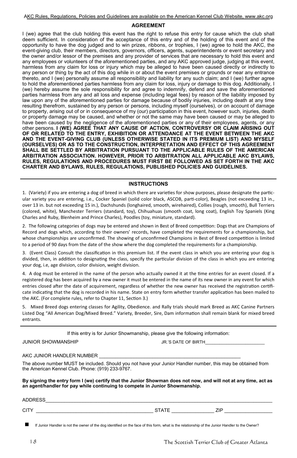#### **AGREEMENT**

I (we) agree that the club holding this event has the right to refuse this entry for cause which the club shall deem sufficient. In consideration of the acceptance of this entry and of the holding of this event and of the opportunity to have the dog judged and to win prizes, ribbons, or trophies, I (we) agree to hold the AKC, the event-giving club, their members, directors, governors, officers, agents, superintendents or event secretary and the owner and/or lessor of the premises and any provider of services that are necessary to hold this event and any employees or volunteers of the aforementioned parties, and any AKC approved judge, judging at this event, harmless from any claim for loss or injury which may be alleged to have been caused directly or indirectly to any person or thing by the act of this dog while in or about the event premises or grounds or near any entrance thereto, and I (we) personally assume all responsibility and liability for any such claim; and I (we) further agree to hold the aforementioned parties harmless from any claim for loss, injury or damage to this dog. Additionally, I (we) hereby assume the sole responsibility for and agree to indemnify, defend and save the aforementioned parties harmless from any and all loss and expense (including legal fees) by reason of the liability imposed by law upon any of the aforementioned parties for damage because of bodily injuries, including death at any time resulting therefrom, sustained by any person or persons, including myself (ourselves), or on account of damage to property, arising out of or in consequence of my (our) participation in this event, however such, injuries, death or property damage may be caused, and whether or not the same may have been caused or may be alleged to have been caused by the negligence of the aforementioned parties or any of their employees, agents, or any other persons. **I (WE) AGREE THAT ANY CAUSE OF ACTION, CONTROVERSY OR CLAIM ARISING OUT OF OR RELATED TO THE ENTRY, EXHIBITION OR ATTENDANCE AT THE EVENT BETWEEN THE AKC AND THE EVENT-GIVING CLUB (UNLESS OTHERWISE STATED IN ITS PREMIUM LIST) AND MYSELF (OURSELVES) OR AS TO THE CONSTRUCTION, INTERPRETATION AND EFFECT OF THIS AGREEMENT SHALL BE SETTLED BY ARBITRATION PURSUANT TO THE APPLICABLE RULES OF THE AMERICAN ARBITRATION ASSOCIATION. HOWEVER, PRIOR TO ARBITRATION ALL APPLICABLE AKC BYLAWS, RULES, REGULATIONS AND PROCEDURES MUST FIRST BE FOLLOWED AS SET FORTH IN THE AKC CHARTER AND BYLAWS, RULES, REGULATIONS, PUBLISHED POLICIES AND GUIDELINES.** 

#### **INSTRUCTIONS**

1. (Variety) if you are entering a dog of breed in which there are varieties for show purposes, please designate the particular variety you are entering, i.e., Cocker Spaniel (solid color black, ASCOB, parti-color), Beagles (not exceeding 13 in., over 13 in. but not exceeding 15 in.), Dachshunds (longhaired, smooth, wirehaired), Collies (rough, smooth), Bull Terriers (colored, white), Manchester Terriers (standard, toy), Chihuahuas (smooth coat, long coat), English Toy Spaniels (King Charles and Ruby, Blenheim and Prince Charles), Poodles (toy, miniature, standard).

2. The following categories of dogs may be entered and shown in Best of Breed competition: Dogs that are Champions of Record and dogs which, according to their owners' records, have completed the requirements for a championship, but whose championships are unconfirmed. The showing of unconfirmed Champions in Best of Breed competition is limited to a period of 90 days from the date of the show where the dog completed the requirements for a championship.

3. (Event Class) Consult the classification in this premium list. If the event class in which you are entering your dog is divided, then, in addition to designating the class, specify the particular division of the class in which you are entering your dog, i.e, age division, color division, weight division.

4. A dog must be entered in the name of the person who actually owned it at the time entries for an event closed. If a registered dog has been acquired by a new owner it must be entered in the name of its new owner in any event for which entries closed after the date of acquirement, regardless of whether the new owner has received the registration certificate indicating that the dog is recorded in his name. State on entry form whether transfer application has been mailed to the AKC. (For complete rules, refer to Chapter 11, Section 3.)

5. Mixed Breed dogs entering classes for Agility, Obedience. and Rally trials should mark Breed as AKC Canine Partners Listed Dog "All American Dog/Mixed Breed." Variety, Breeder, Sire, Dam information shall remain blank for mixed breed entrants.

If this entry is for Junior Showmanship, please give the following information:

JUNIOR SHOWMANSHIP **JUNIOR SHOWMANSHIP** JR.'S DATE OF BIRTH

AKC JUNIOR HANDLER NUMBER

The above number MUST be included. Should you not have your Junior Handler number, this may be obtained from the American Kennel Club. Phone: (919) 233-9767.

**By signing the entry form I (we) certify that the Junior Showman does not now, and will not at any time, act as an agent/handler for pay while continuing to compete in Junior Showmanship.** 

| <b>CITY</b><br>$- -$ | ADL |  |  |
|----------------------|-----|--|--|
| .<br>-               |     |  |  |

If Junior Handler is not the owner of the dog identified on the face of this form, what is the relationship of the Junior Handler to the Owner?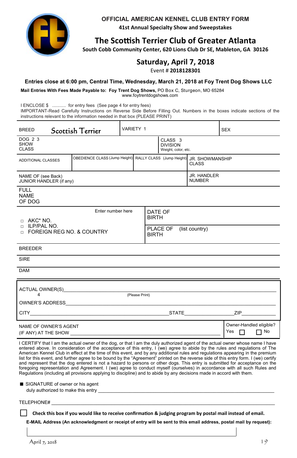

#### **OFFICIAL AMERICAN KENNEL CLUB ENTRY FORM 41st Annual Specialty Show and Sweepstakes**

**The Scoƫsh Terrier Club of Greater Atlanta** 

**South Cobb Community Center, 620 Lions Club Dr SE, Mableton, GA 30126** 

#### **Saturday, April 7, 2018**

Event # **2018128301** 

#### **Entries close at 6:00 pm, Central Time, Wednesday, March 21, 2018 at Foy Trent Dog Shows LLC**

Mail Entries With Fees Made Payable to: Foy Trent Dog Shows, PO Box C, Sturgeon, MO 65284 www.foytrentdogshows.com

I ENCLOSE \$ ........... for entry fees (See page 4 for entry fees) IMPORTANT-Read Carefully Instructions on Reverse Side Before Filling Out. Numbers in the boxes indicate sections of the instructions relevant to the information needed in that box (PLEASE PRINT)

| <b>BREED</b>                                  | Scottish Terrier                                                                                                                                                                                                               | VARIETY 1 |                |                         |                                                              |                                     | <b>SEX</b>                            |           |
|-----------------------------------------------|--------------------------------------------------------------------------------------------------------------------------------------------------------------------------------------------------------------------------------|-----------|----------------|-------------------------|--------------------------------------------------------------|-------------------------------------|---------------------------------------|-----------|
| DOG 2 3<br><b>SHOW</b><br><b>CLASS</b>        |                                                                                                                                                                                                                                |           |                |                         | CLASS <sub>3</sub><br><b>DIVISION</b><br>Weight, color, etc. |                                     |                                       |           |
| ADDITIONAL CLASSES                            | OBEDIENCE CLASS (Jump Height) RALLY CLASS (Jump Height) JR. SHOWMANSHIP                                                                                                                                                        |           |                |                         |                                                              | <b>CLASS</b>                        |                                       |           |
| NAME OF (see Back)<br>JUNIOR HANDLER (if any) |                                                                                                                                                                                                                                |           |                |                         |                                                              | <b>JR. HANDLER</b><br><b>NUMBER</b> |                                       |           |
| <b>FULL</b><br><b>NAME</b><br>OF DOG          |                                                                                                                                                                                                                                |           |                |                         |                                                              |                                     |                                       |           |
| $\Box$ AKC* NO.<br><b>D</b> ILP/PAL NO.       | Enter number here                                                                                                                                                                                                              |           |                | DATE OF<br><b>BIRTH</b> |                                                              |                                     |                                       |           |
|                                               | <b>EXECUTE: POREIGN REG NO. &amp; COUNTRY</b>                                                                                                                                                                                  |           |                | <b>BIRTH</b>            | PLACE OF                                                     | (list country)                      |                                       |           |
| <b>BREEDER</b>                                |                                                                                                                                                                                                                                |           |                |                         |                                                              |                                     |                                       |           |
| <b>SIRE</b>                                   |                                                                                                                                                                                                                                |           |                |                         |                                                              |                                     |                                       |           |
| <b>DAM</b>                                    |                                                                                                                                                                                                                                |           |                |                         |                                                              |                                     |                                       |           |
| 4                                             | ACTUAL OWNER(S)                                                                                                                                                                                                                |           | (Please Print) |                         |                                                              |                                     |                                       |           |
|                                               | OWNER'S ADDRESS AND A STATE OF THE STATE OF THE STATE OF THE STATE OF THE STATE OF THE STATE OF THE STATE OF THE STATE OF THE STATE OF THE STATE OF THE STATE OF THE STATE OF THE STATE OF THE STATE OF THE STATE OF THE STATE |           |                |                         |                                                              |                                     | STATE ZIP                             |           |
|                                               |                                                                                                                                                                                                                                |           |                |                         |                                                              |                                     |                                       |           |
| NAME OF OWNER'S AGENT<br>(IF ANY) AT THE SHOW |                                                                                                                                                                                                                                |           |                |                         |                                                              |                                     | Owner-Handled eligible?<br>Yes $\Box$ | $\Box$ No |

I CERTIFY that I am the actual owner of the dog, or that I am the duly authorized agent of the actual owner whose name I have entered above. In consideration of the acceptance of this entry, I (we) agree to abide by the rules and regulations of The American Kennel Club in effect at the time of this event, and by any additional rules and regulations appearing in the premium list for this event, and further agree to be bound by the "Agreement" printed on the reverse side of this entry form. I (we) certify and represent that the dog entered is not a hazard to persons or other dogs. This entry is submitted for acceptance on the foregoing representation and Agreement. I (we) agree to conduct myself (ourselves) in accordance with all such Rules and Regulations (including all provisions applying to discipline) and to abide by any decisions made in accord with them.

| SIGNATURE of owner or his agent    |  |
|------------------------------------|--|
| duly authorized to make this entry |  |

TELEPHONE# \_\_\_\_\_\_\_\_\_\_\_\_\_\_\_\_\_\_\_\_\_\_\_\_\_\_\_\_\_\_\_\_\_\_\_\_\_\_\_\_\_\_\_\_\_\_\_\_\_\_\_\_\_\_\_\_\_\_\_\_\_\_\_\_\_\_\_\_\_\_\_\_\_\_\_\_\_\_\_\_\_\_\_\_\_

**Check this box if you would like to receive confirmaƟon & judging program by postal mail instead of email.** 

**E-MAIL Address (An acknowledgment or receipt of entry will be sent to this email address, postal mail by request):**